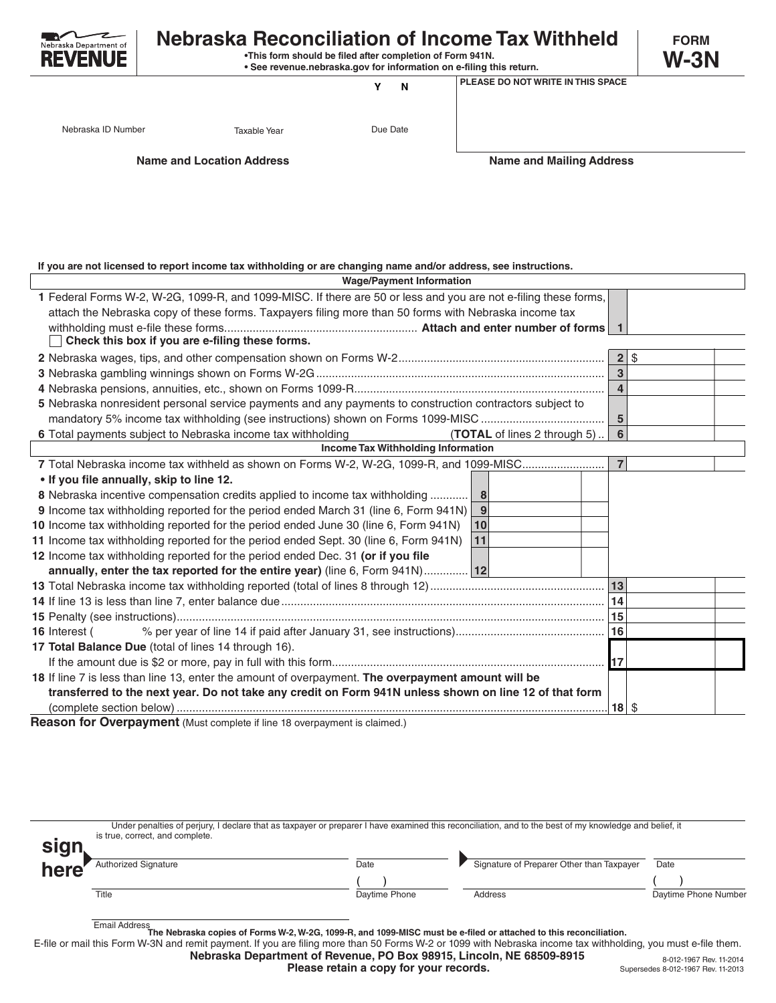

## **Nebraska Reconciliation of Income Tax Withheld** FORM

 **•This form should be filed after completion of Form 941N. • See revenue.nebraska.gov for information on e-filing this return.** **W-3N**

**Y N**

**PLEASE DO NOT WRITE IN THIS SPACE**

Nebraska ID Number **Taxable Year** Taxable Year Due Date

**Name and Location Address Name and Mailing Address**

**If you are not licensed to report income tax withholding or are changing name and/or address, see instructions.**

| <b>Wage/Payment Information</b>                                                                                 |                         |          |  |  |  |  |  |
|-----------------------------------------------------------------------------------------------------------------|-------------------------|----------|--|--|--|--|--|
| 1 Federal Forms W-2, W-2G, 1099-R, and 1099-MISC. If there are 50 or less and you are not e-filing these forms, |                         |          |  |  |  |  |  |
| attach the Nebraska copy of these forms. Taxpayers filing more than 50 forms with Nebraska income tax           |                         |          |  |  |  |  |  |
|                                                                                                                 |                         |          |  |  |  |  |  |
| Check this box if you are e-filing these forms.                                                                 |                         |          |  |  |  |  |  |
|                                                                                                                 |                         | $2$ \ \$ |  |  |  |  |  |
|                                                                                                                 | $\overline{\mathbf{3}}$ |          |  |  |  |  |  |
|                                                                                                                 | $\overline{\mathbf{4}}$ |          |  |  |  |  |  |
| 5 Nebraska nonresident personal service payments and any payments to construction contractors subject to        |                         |          |  |  |  |  |  |
|                                                                                                                 | $\sqrt{5}$              |          |  |  |  |  |  |
| 6 Total payments subject to Nebraska income tax withholding<br>(TOTAL of lines 2 through 5)                     | $6\phantom{1}$          |          |  |  |  |  |  |
| Income Tax Withholding Information                                                                              |                         |          |  |  |  |  |  |
| 7 Total Nebraska income tax withheld as shown on Forms W-2, W-2G, 1099-R, and 1099-MISC                         | $\overline{7}$          |          |  |  |  |  |  |
| . If you file annually, skip to line 12.                                                                        |                         |          |  |  |  |  |  |
| 8 Nebraska incentive compensation credits applied to income tax withholding<br>8                                |                         |          |  |  |  |  |  |
| 9 Income tax withholding reported for the period ended March 31 (line 6, Form 941N)<br>9                        |                         |          |  |  |  |  |  |
| 10 Income tax withholding reported for the period ended June 30 (line 6, Form 941N)<br>10                       |                         |          |  |  |  |  |  |
| 11<br>11 Income tax withholding reported for the period ended Sept. 30 (line 6, Form 941N)                      |                         |          |  |  |  |  |  |
| 12 Income tax withholding reported for the period ended Dec. 31 (or if you file                                 |                         |          |  |  |  |  |  |
| annually, enter the tax reported for the entire year) (line 6, Form 941N) 12                                    |                         |          |  |  |  |  |  |
|                                                                                                                 | 13                      |          |  |  |  |  |  |
|                                                                                                                 | 14                      |          |  |  |  |  |  |
|                                                                                                                 | 15                      |          |  |  |  |  |  |
| 16 Interest (                                                                                                   | 16                      |          |  |  |  |  |  |
| 17 Total Balance Due (total of lines 14 through 16).                                                            |                         |          |  |  |  |  |  |
|                                                                                                                 | 17                      |          |  |  |  |  |  |
| 18 If line 7 is less than line 13, enter the amount of overpayment. The overpayment amount will be              |                         |          |  |  |  |  |  |
| transferred to the next year. Do not take any credit on Form 941N unless shown on line 12 of that form          |                         |          |  |  |  |  |  |
|                                                                                                                 | $18$ \$                 |          |  |  |  |  |  |

**Reason for Overpayment** (Must complete if line 18 overpayment is claimed.)

| <b>sign</b> | Under penalties of perjury, I declare that as taxpayer or preparer I have examined this reconciliation, and to the best of my knowledge and belief, it<br>is true, correct, and complete. |               |                                           |                      |
|-------------|-------------------------------------------------------------------------------------------------------------------------------------------------------------------------------------------|---------------|-------------------------------------------|----------------------|
| here        | <b>Authorized Signature</b>                                                                                                                                                               | Date          | Signature of Preparer Other than Taxpayer | Date                 |
|             | Title                                                                                                                                                                                     | Daytime Phone | Address                                   | Daytime Phone Number |

Email Address **The Nebraska copies of Forms W-2, W-2G, 1099-R, and 1099-MISC must be e-filed or attached to this reconciliation.**

E-file or mail this Form W-3N and remit payment. If you are filing more than 50 Forms W-2 or 1099 with Nebraska income tax withholding, you must e-file them.

**Nebraska Department of Revenue, PO Box 98915, Lincoln, NE 68509-8915**

**Please retain a copy for your records.**